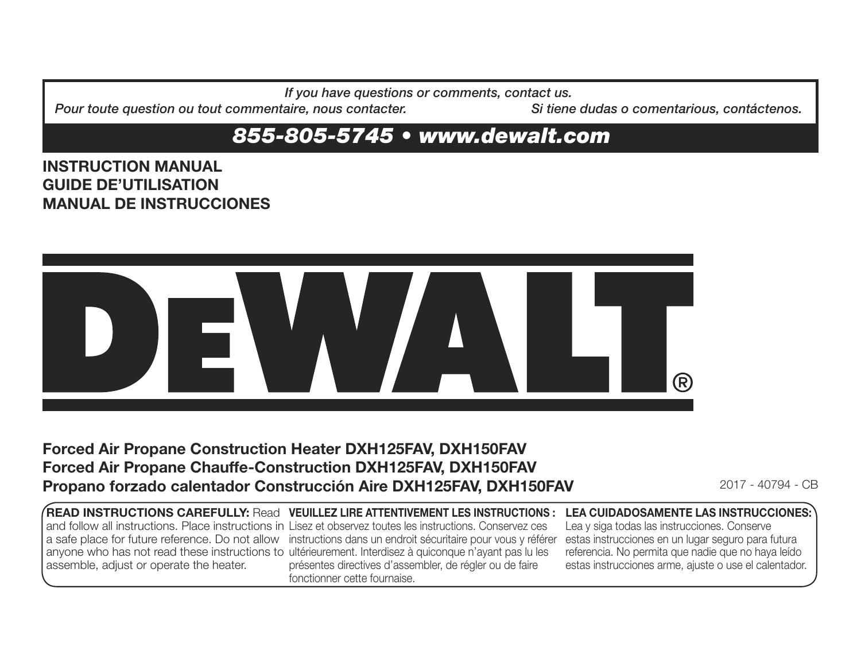*If you have questions or comments, contact us.*

*Pour toute question ou tout commentaire, nous contacter.* Si tiene dudas o comentarious, contáctenos.

# *855-805-5745 • www.dewalt.com*

## **INSTRUCTION MANUALGUIDE DE'UTILISATIONMANUAL DE INSTRUCCIONES**



# **Forced Air Propane Construction Heater DXH125FAV, DXH150FAV Forced Air Propane Chauffe-Construction DXH125FAV, DXH150FAV Propano forzado calentador Construcción Aire DXH125FAV, DXH150FAV 2017 - 40794 - CB**

**READ INSTRUCTIONS CAREFULLY:** Read **VEUILLEZ LIRE ATTENTIVEMENT LES INSTRUCTIONS :LEA CUIDADOSAMENTE LAS INSTRUCCIONES:** and follow all instructions. Place instructions in Lisez et observez toutes les instructions. Conservez ces a safe place for future reference. Do not allow instructions dans un endroit sécuritaire pour vous y référer estas instrucciones en un lugar seguro para futura anyone who has not read these instructions to ultérieurement. Interdisez à quiconque n'ayant pas lu les assemble, adjust or operate the heater. présentes directives d'assembler, de régler ou de faire fonctionner cette fournaise.Lea y siga todas las instrucciones. Conserve referencia. No permita que nadie que no haya leído estas instrucciones arme, ajuste o use el calentador.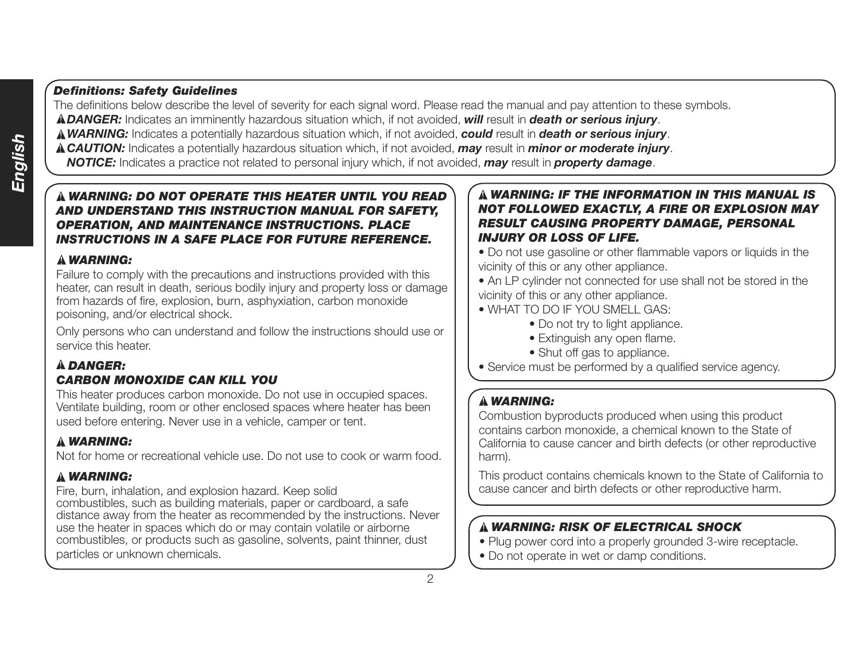### *Definitions: Safety Guidelines*

The definitions below describe the level of severity for each signal word. Please read the manual and pay attention to these symbols. *DANGER:* Indicates an imminently hazardous situation which, if not avoided, *will* result in *death or serious injury*.

*WARNING:* Indicates a potentially hazardous situation which, if not avoided, *could* result in *death or serious injury*.

*CAUTION:* Indicates a potentially hazardous situation which, if not avoided, *may* result in *minor or moderate injury*.

*NOTICE:* Indicates a practice not related to personal injury which, if not avoided, *may* result in *property damage*.

### *WARNING: DO NOT OPERATE THIS HEATER UNTIL YOU READ AND UNDERSTAND THIS INSTRUCTION MANUAL FOR SAFETY, OPERATION, AND MAINTENANCE INSTRUCTIONS. PLACE INSTRUCTIONS IN A SAFE PLACE FOR FUTURE REFERENCE.*

### *WARNING:*

Failure to comply with the precautions and instructions provided with this heater, can result in death, serious bodily injury and property loss or damage from hazards of fire, explosion, burn, asphyxiation, carbon monoxide poisoning, and/or electrical shock.

Only persons who can understand and follow the instructions should use or service this heater.

### *DANGER:*

### *CARBON MONOXIDE CAN KILL YOU*

This heater produces carbon monoxide. Do not use in occupied spaces. Ventilate building, room or other enclosed spaces where heater has been used before entering. Never use in a vehicle, camper or tent.

#### *WARNING:*

Not for home or recreational vehicle use. Do not use to cook or warm food.

### *WARNING:*

Fire, burn, inhalation, and explosion hazard. Keep solid combustibles, such as building materials, paper or cardboard, a safe distance away from the heater as recommended by the instructions. Never use the heater in spaces which do or may contain volatile or airborne combustibles, or products such as gasoline, solvents, paint thinner, dust particles or unknown chemicals.

#### *WARNING: IF THE INFORMATION IN THIS MANUAL IS NOT FOLLOWED EXACTLY, A FIRE OR EXPLOSION MAY RESULT CAUSING PROPERTY DAMAGE, PERSONAL INJURY OR LOSS OF LIFE.*

• Do not use gasoline or other flammable vapors or liquids in the vicinity of this or any other appliance.

• An LP cylinder not connected for use shall not be stored in the vicinity of this or any other appliance.

- WHAT TO DO IF YOU SMELL GAS:
	- Do not try to light appliance.
	- Extinguish any open flame.
	- Shut off gas to appliance.
- Service must be performed by a qualified service agency.

### *WARNING:*

Combustion byproducts produced when using this product contains carbon monoxide, a chemical known to the State of California to cause cancer and birth defects (or other reproductive harm).

This product contains chemicals known to the State of California to cause cancer and birth defects or other reproductive harm.

### *WARNING: RISK OF ELECTRICAL SHOCK*

- Plug power cord into a properly grounded 3-wire receptacle.
- Do not operate in wet or damp conditions.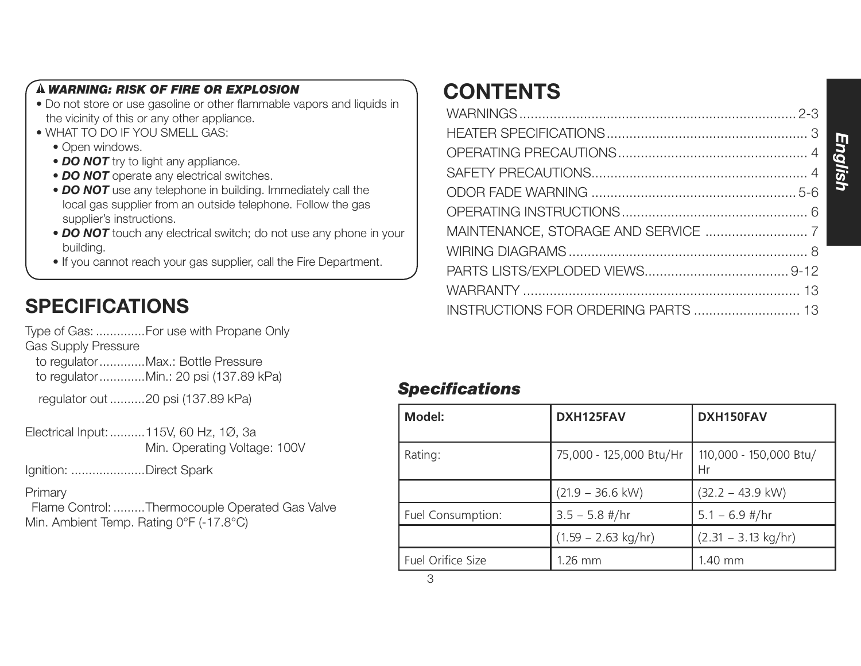### *WARNING: RISK OF FIRE OR EXPLOSION*

- Do not store or use gasoline or other flammable vapors and liquids in the vicinity of this or any other appliance.
- WHAT TO DO IF YOU SMELL GAS:
	- Open windows.
	- **DO NOT** try to light any appliance.
	- **DO NOT** operate any electrical switches.
	- *DO NOT* use any telephone in building. Immediately call the local gas supplier from an outside telephone. Follow the gas supplier's instructions.
	- **DO NOT** touch any electrical switch; do not use any phone in your building.
	- If you cannot reach your gas supplier, call the Fire Department.

# **SPECIFICATIONS**

Type of Gas: ..............For use with Propane Only

Gas Supply Pressure

 to regulator .............Max.: Bottle Pressure to regulator .............Min.: 20 psi (137.89 kPa)

regulator out ..........20 psi (137.89 kPa)

Electrical Input: ..........115V, 60 Hz, 1Ø, 3a Min. Operating Voltage: 100V

Ignition: .....................Direct Spark

**Primary** 

 Flame Control: .........Thermocouple Operated Gas Valve Min. Ambient Temp. Rating 0°F (-17.8°C)

# **CONTENTS**

| INSTRUCTIONS FOR ORDERING PARTS  13 |  |
|-------------------------------------|--|

### *Specifications*

| Model:            | DXH125FAV                     | DXH150FAV                     |
|-------------------|-------------------------------|-------------------------------|
| Rating:           | 75,000 - 125,000 Btu/Hr       | 110,000 - 150,000 Btu/<br>Hr  |
|                   | $(21.9 - 36.6$ kW)            | $(32.2 - 43.9$ kW)            |
| Fuel Consumption: | $3.5 - 5.8$ #/hr              | $5.1 - 6.9$ #/hr              |
|                   | $(1.59 - 2.63 \text{ kg/hr})$ | $(2.31 - 3.13 \text{ kg/hr})$ |
| Fuel Orifice Size | $1.26$ mm                     | 1.40 mm                       |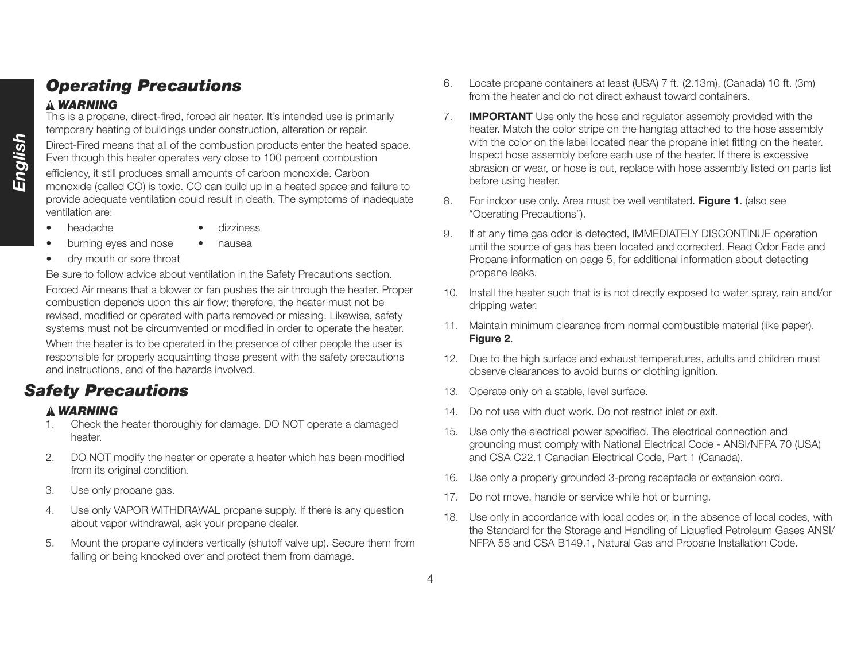# *Operating Precautions*

### *WARNING*

This is a propane, direct-fired, forced air heater. It's intended use is primarily temporary heating of buildings under construction, alteration or repair.

Direct-Fired means that all of the combustion products enter the heated space. Even though this heater operates very close to 100 percent combustion

efficiency, it still produces small amounts of carbon monoxide. Carbon monoxide (called CO) is toxic. CO can build up in a heated space and failure to provide adequate ventilation could result in death. The symptoms of inadequate ventilation are:

- headache dizziness
	-
- burning eyes and nose nausea
- dry mouth or sore throat

Be sure to follow advice about ventilation in the Safety Precautions section.

Forced Air means that a blower or fan pushes the air through the heater. Proper combustion depends upon this air flow; therefore, the heater must not be revised, modified or operated with parts removed or missing. Likewise, safety systems must not be circumvented or modified in order to operate the heater.

When the heater is to be operated in the presence of other people the user is responsible for properly acquainting those present with the safety precautions and instructions, and of the hazards involved.

# *Safety Precautions*

### *WARNING*

- 1. Check the heater thoroughly for damage. DO NOT operate a damaged heater.
- 2. DO NOT modify the heater or operate a heater which has been modified from its original condition.
- 3. Use only propane gas.
- 4. Use only VAPOR WITHDRAWAL propane supply. If there is any question about vapor withdrawal, ask your propane dealer.
- 5. Mount the propane cylinders vertically (shutoff valve up). Secure them from falling or being knocked over and protect them from damage.
- 6. Locate propane containers at least (USA) 7 ft. (2.13m), (Canada) 10 ft. (3m) from the heater and do not direct exhaust toward containers.
- 7. **IMPORTANT** Use only the hose and regulator assembly provided with the heater. Match the color stripe on the hangtag attached to the hose assembly with the color on the label located near the propane inlet fitting on the heater. Inspect hose assembly before each use of the heater. If there is excessive abrasion or wear, or hose is cut, replace with hose assembly listed on parts list before using heater.
- 8. For indoor use only. Area must be well ventilated. **Figure 1**. (also see "Operating Precautions").
- 9. If at any time gas odor is detected, IMMEDIATELY DISCONTINUE operation until the source of gas has been located and corrected. Read Odor Fade and Propane information on page 5, for additional information about detecting propane leaks.
- 10. Install the heater such that is is not directly exposed to water spray, rain and/or dripping water.
- 11. Maintain minimum clearance from normal combustible material (like paper). **Figure 2**.
- 12. Due to the high surface and exhaust temperatures, adults and children must observe clearances to avoid burns or clothing ignition.
- 13. Operate only on a stable, level surface.
- 14. Do not use with duct work. Do not restrict inlet or exit.
- 15. Use only the electrical power specified. The electrical connection and grounding must comply with National Electrical Code - ANSI/NFPA 70 (USA) and CSA C22.1 Canadian Electrical Code, Part 1 (Canada).
- 16. Use only a properly grounded 3-prong receptacle or extension cord.
- 17. Do not move, handle or service while hot or burning.
- 18. Use only in accordance with local codes or, in the absence of local codes, with the Standard for the Storage and Handling of Liquefied Petroleum Gases ANSI/ NFPA 58 and CSA B149.1, Natural Gas and Propane Installation Code.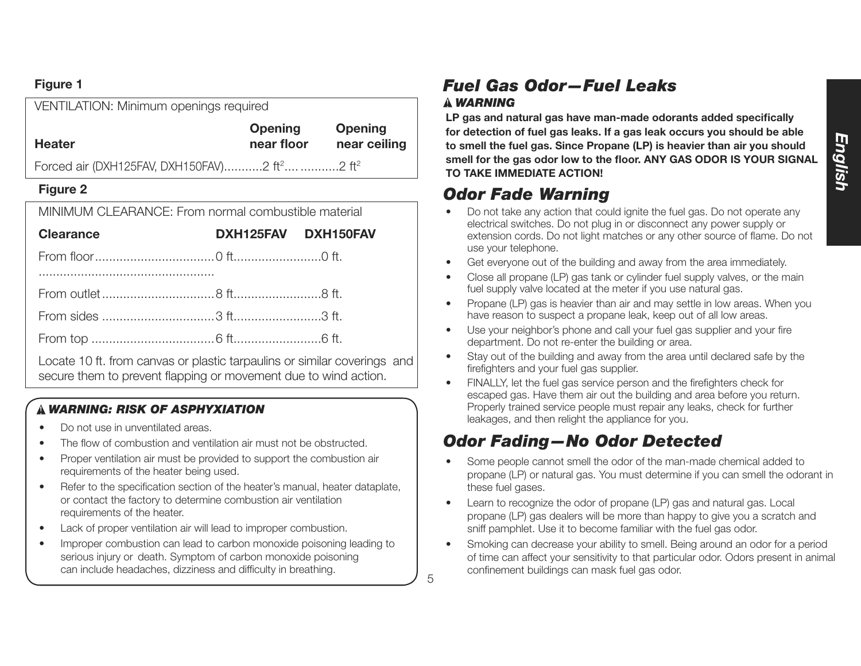### **Figure 1**

| VENTILATION: Minimum openings required                               |                              |                                |
|----------------------------------------------------------------------|------------------------------|--------------------------------|
| <b>Heater</b>                                                        | <b>Opening</b><br>near floor | <b>Opening</b><br>near ceiling |
|                                                                      |                              |                                |
| Forced air (DXH125FAV, DXH150FAV)2 ft <sup>2</sup> 2 ft <sup>2</sup> |                              |                                |

### **Figure 2**

MINIMUM CLEARANCE: From normal combustible material

| <b>Clearance</b>                                                                                                                                                                                                                  | DXH125FAV DXH150FAV |  |
|-----------------------------------------------------------------------------------------------------------------------------------------------------------------------------------------------------------------------------------|---------------------|--|
|                                                                                                                                                                                                                                   |                     |  |
|                                                                                                                                                                                                                                   |                     |  |
|                                                                                                                                                                                                                                   |                     |  |
|                                                                                                                                                                                                                                   |                     |  |
|                                                                                                                                                                                                                                   |                     |  |
| $\mathbf{r}$ , the set of the set of the set of the set of the set of the set of the set of the set of the set of the set of the set of the set of the set of the set of the set of the set of the set of the set of the set of t |                     |  |

Locate 10 ft. from canvas or plastic tarpaulins or similar coverings and secure them to prevent flapping or movement due to wind action.

### *WARNING: RISK OF ASPHYXIATION*

- Do not use in unventilated areas.
- The flow of combustion and ventilation air must not be obstructed.
- Proper ventilation air must be provided to support the combustion air requirements of the heater being used.
- Refer to the specification section of the heater's manual, heater dataplate, or contact the factory to determine combustion air ventilation requirements of the heater.
- Lack of proper ventilation air will lead to improper combustion.
- Improper combustion can lead to carbon monoxide poisoning leading to serious injury or death. Symptom of carbon monoxide poisoning can include headaches, dizziness and difficulty in breathing.

# *Fuel Gas Odor—Fuel Leaks WARNING*

**LP gas and natural gas have man-made odorants added specifically for detection of fuel gas leaks. If a gas leak occurs you should be able to smell the fuel gas. Since Propane (LP) is heavier than air you should smell for the gas odor low to the floor. ANY GAS ODOR IS YOUR SIGNAL TO TAKE IMMEDIATE ACTION!**

# *Odor Fade Warning*

5

- Do not take any action that could ignite the fuel gas. Do not operate any electrical switches. Do not plug in or disconnect any power supply or extension cords. Do not light matches or any other source of flame. Do not use your telephone.
- Get everyone out of the building and away from the area immediately.
- Close all propane (LP) gas tank or cylinder fuel supply valves, or the main fuel supply valve located at the meter if you use natural gas.
- Propane (LP) gas is heavier than air and may settle in low areas. When you have reason to suspect a propane leak, keep out of all low areas.
- Use your neighbor's phone and call your fuel gas supplier and your fire department. Do not re-enter the building or area.
- Stay out of the building and away from the area until declared safe by the firefighters and your fuel gas supplier.
- FINALLY, let the fuel gas service person and the firefighters check for escaped gas. Have them air out the building and area before you return. Properly trained service people must repair any leaks, check for further leakages, and then relight the appliance for you.

# *Odor Fading—No Odor Detected*

- Some people cannot smell the odor of the man-made chemical added to propane (LP) or natural gas. You must determine if you can smell the odorant in these fuel gases.
- Learn to recognize the odor of propane (LP) gas and natural gas. Local propane (LP) gas dealers will be more than happy to give you a scratch and sniff pamphlet. Use it to become familiar with the fuel gas odor.
- Smoking can decrease your ability to smell. Being around an odor for a period of time can affect your sensitivity to that particular odor. Odors present in animal confinement buildings can mask fuel gas odor.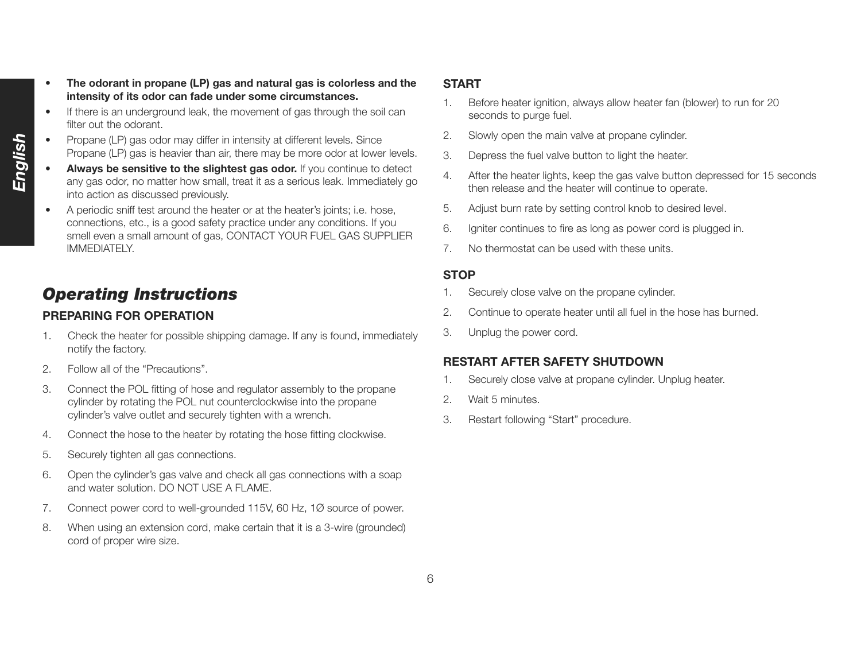- *English*
- **The odorant in propane (LP) gas and natural gas is colorless and the intensity of its odor can fade under some circumstances.**
	- If there is an underground leak, the movement of gas through the soil can filter out the odorant.
	- Propane (LP) gas odor may differ in intensity at different levels. Since Propane (LP) gas is heavier than air, there may be more odor at lower levels.
	- Always be sensitive to the slightest gas odor. If you continue to detect any gas odor, no matter how small, treat it as a serious leak. Immediately go into action as discussed previously.
	- A periodic sniff test around the heater or at the heater's joints; i.e. hose, connections, etc., is a good safety practice under any conditions. If you smell even a small amount of gas, CONTACT YOUR FUEL GAS SUPPLIER IMMEDIATELY.

# *Operating Instructions*

### **PREPARING FOR OPERATION**

- 1. Check the heater for possible shipping damage. If any is found, immediately notify the factory.
- 2. Follow all of the "Precautions".
- 3. Connect the POL fitting of hose and regulator assembly to the propane cylinder by rotating the POL nut counterclockwise into the propane cylinder's valve outlet and securely tighten with a wrench.
- 4. Connect the hose to the heater by rotating the hose fitting clockwise.
- 5. Securely tighten all gas connections.
- 6. Open the cylinder's gas valve and check all gas connections with a soap and water solution. DO NOT USE A FLAME.
- 7. Connect power cord to well-grounded 115V, 60 Hz, 1Ø source of power.
- 8. When using an extension cord, make certain that it is a 3-wire (grounded) cord of proper wire size.

### **START**

- 1. Before heater ignition, always allow heater fan (blower) to run for 20 seconds to purge fuel.
- 2. Slowly open the main valve at propane cylinder.
- 3. Depress the fuel valve button to light the heater.
- 4. After the heater lights, keep the gas valve button depressed for 15 seconds then release and the heater will continue to operate.
- 5. Adjust burn rate by setting control knob to desired level.
- 6. Igniter continues to fire as long as power cord is plugged in.
- 7. No thermostat can be used with these units.

### **STOP**

- 1. Securely close valve on the propane cylinder.
- 2. Continue to operate heater until all fuel in the hose has burned.
- 3. Unplug the power cord.

### **RESTART AFTER SAFETY SHUTDOWN**

- 1. Securely close valve at propane cylinder. Unplug heater.
- 2. Wait 5 minutes.
- 3. Restart following "Start" procedure.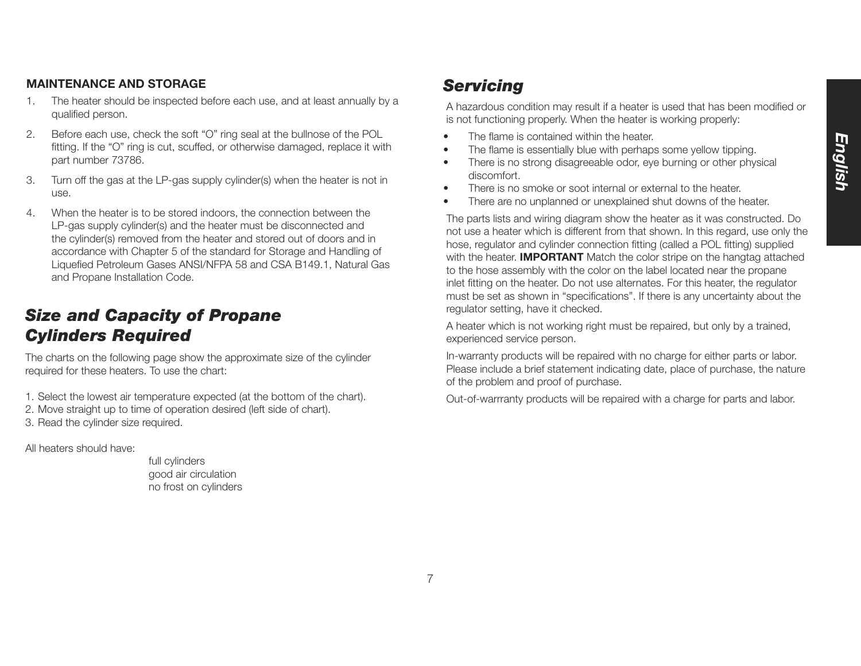#### **MAINTENANCE AND STORAGE**

- 1. The heater should be inspected before each use, and at least annually by a qualified person.
- 2. Before each use, check the soft "O" ring seal at the bullnose of the POL fitting. If the "O" ring is cut, scuffed, or otherwise damaged, replace it with part number 73786.
- 3. Turn off the gas at the LP-gas supply cylinder(s) when the heater is not in use.
- 4. When the heater is to be stored indoors, the connection between the LP-gas supply cylinder(s) and the heater must be disconnected and the cylinder(s) removed from the heater and stored out of doors and in accordance with Chapter 5 of the standard for Storage and Handling of Liquefied Petroleum Gases ANSI/NFPA 58 and CSA B149.1, Natural Gas and Propane Installation Code.

# *Size and Capacity of Propane Cylinders Required*

The charts on the following page show the approximate size of the cylinder required for these heaters. To use the chart:

- 1. Select the lowest air temperature expected (at the bottom of the chart).
- 2. Move straight up to time of operation desired (left side of chart).
- 3. Read the cylinder size required.

All heaters should have:

 full cylinders good air circulation no frost on cylinders

# *Servicing*

A hazardous condition may result if a heater is used that has been modified or is not functioning properly. When the heater is working properly:

- The flame is contained within the heater.
- The flame is essentially blue with perhaps some yellow tipping.
- There is no strong disagreeable odor, eye burning or other physical discomfort.
- There is no smoke or soot internal or external to the heater.
- There are no unplanned or unexplained shut downs of the heater.

The parts lists and wiring diagram show the heater as it was constructed. Do not use a heater which is different from that shown. In this regard, use only the hose, regulator and cylinder connection fitting (called a POL fitting) supplied with the heater. **IMPORTANT** Match the color stripe on the hangtag attached to the hose assembly with the color on the label located near the propane inlet fitting on the heater. Do not use alternates. For this heater, the regulator must be set as shown in "specifications". If there is any uncertainty about the regulator setting, have it checked.

A heater which is not working right must be repaired, but only by a trained, experienced service person.

In-warranty products will be repaired with no charge for either parts or labor. Please include a brief statement indicating date, place of purchase, the nature of the problem and proof of purchase.

Out-of-warrranty products will be repaired with a charge for parts and labor.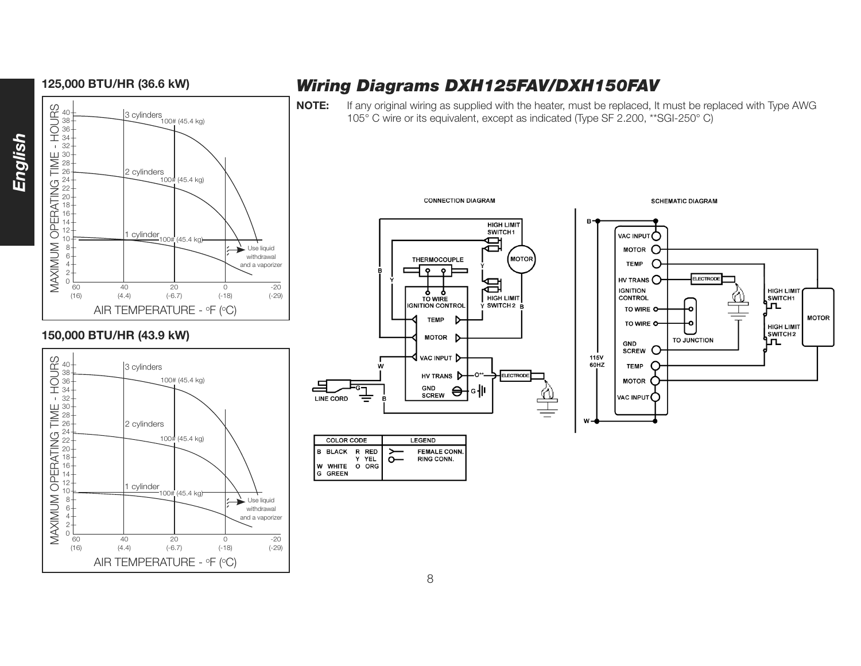

### **150,000 BTU/HR (43.9 kW)**



# **125,000 BTU/HR (36.6 kW)** *Wiring Diagrams DXH125FAV/DXH150FAV*

**NOTE:** If any original wiring as supplied with the heater, must be replaced, It must be replaced with Type AWG 105° C wire or its equivalent, except as indicated (Type SF 2.200, \*\* SGI-250° C)



**CONNECTION DIAGRAM** 



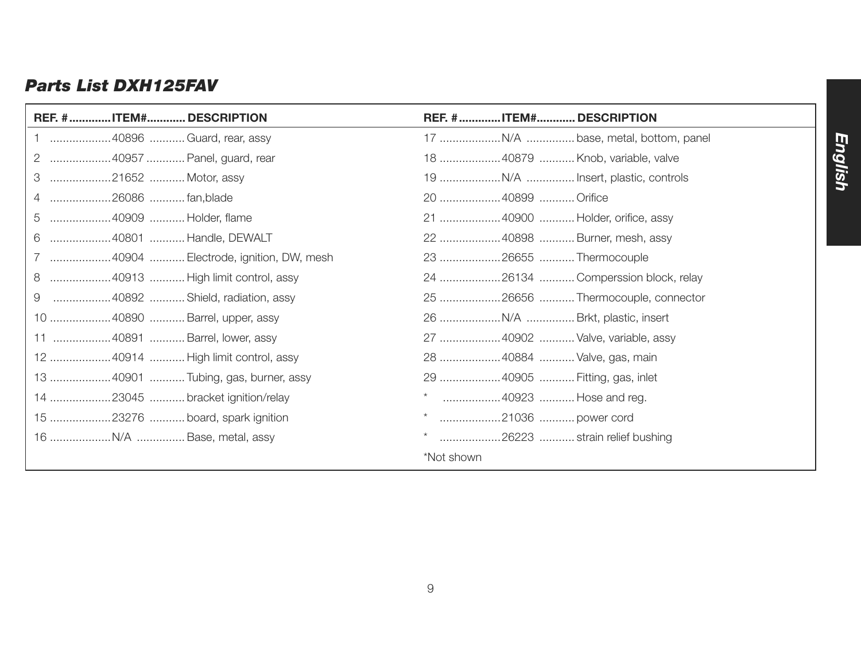## *Parts List DXH125FAV*

| REF. #ITEM#DESCRIPTION                 | REF. #ITEM#DESCRIPTION             |
|----------------------------------------|------------------------------------|
| 1 40896  Guard, rear, assy             |                                    |
| 2 40957  Panel, guard, rear            | 18 40879  Knob, variable, valve    |
| 21652  Motor, assy<br>3                |                                    |
| 4 26086  fan,blade                     | 20 40899  Orifice                  |
| 5<br>40909  Holder, flame              | 21  40900  Holder, orifice, assy   |
| 6<br>40801  Handle, DEWALT             | 22 40898  Burner, mesh, assy       |
| 7 40904  Electrode, ignition, DW, mesh | 23 26655  Thermocouple             |
| 8<br>40913  High limit control, assy   | 24 26134  Comperssion block, relay |
| 40892  Shield, radiation, assy<br>9    | 25 26656  Thermocouple, connector  |
| 10 40890  Barrel, upper, assy          |                                    |
| 11 40891  Barrel, lower, assy          | 27  40902  Valve, variable, assy   |
| 12 40914  High limit control, assy     | 28 40884  Valve, gas, main         |
| 13 40901  Tubing, gas, burner, assy    | 29 40905  Fitting, gas, inlet      |
| 14 23045  bracket ignition/relay       | 40923  Hose and reg.               |
| 15 23276  board, spark ignition        | 21036  power cord                  |
|                                        | 26223  strain relief bushing       |
|                                        | *Not shown                         |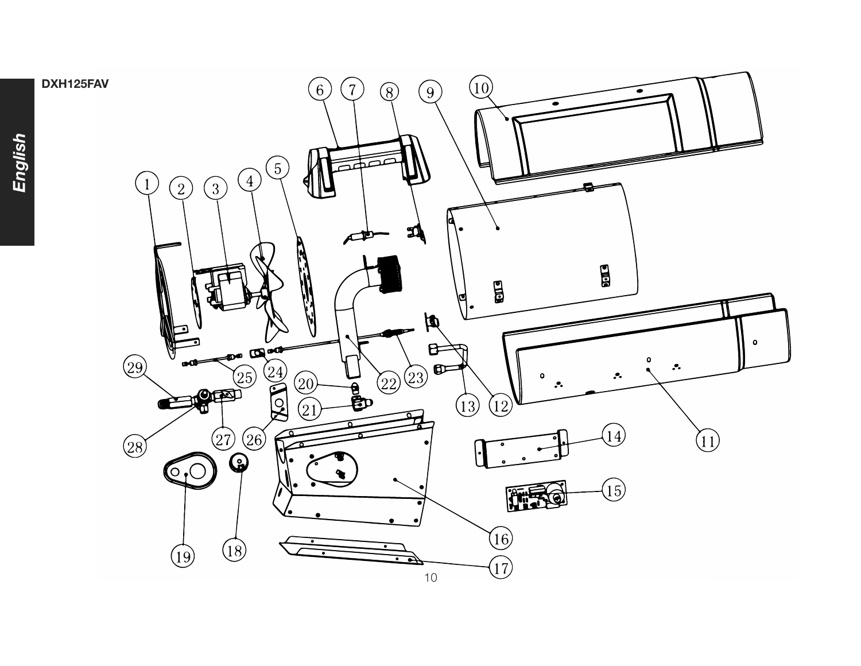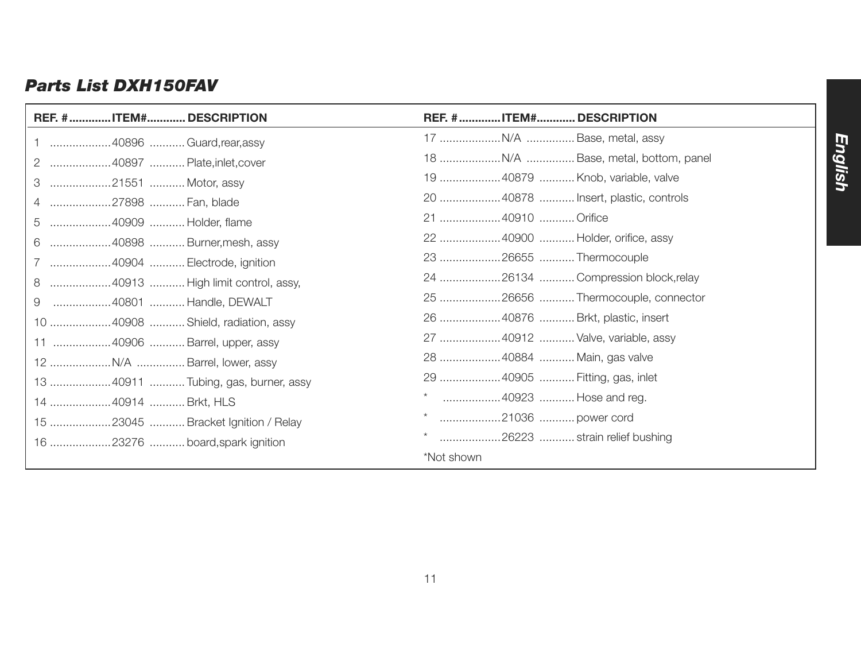## *Parts List DXH150FAV*

| REF. # ITEM# DESCRIPTION             | REF. #ITEM#DESCRIPTION              |
|--------------------------------------|-------------------------------------|
| 1 40896  Guard, rear, assy           |                                     |
| 2 40897  Plate, inlet, cover         |                                     |
| 3 21551  Motor, assy                 | 19 40879  Knob, variable, valve     |
| 4 27898  Fan, blade                  | 20 40878  Insert, plastic, controls |
| 40909  Holder, flame                 | 21 40910  Orifice                   |
| 6 40898  Burner, mesh, assy          | 22 40900  Holder, orifice, assy     |
| 7 40904  Electrode, ignition         | 23 26655  Thermocouple              |
| 8 40913  High limit control, assy,   | 24 26134  Compression block, relay  |
| 40801  Handle, DEWALT<br>9           |                                     |
| 10 40908  Shield, radiation, assy    | 26 40876  Brkt, plastic, insert     |
| 11 40906  Barrel, upper, assy        | 27 40912  Valve, variable, assy     |
|                                      | 28 40884  Main, gas valve           |
| 13  40911  Tubing, gas, burner, assy | 29 40905  Fitting, gas, inlet       |
| 14 40914  Brkt, HLS                  | 40923  Hose and reg.                |
| 15 23045  Bracket Ignition / Relay   | 21036  power cord                   |
| 16 23276  board, spark ignition      | 26223  strain relief bushing        |
|                                      | *Not shown                          |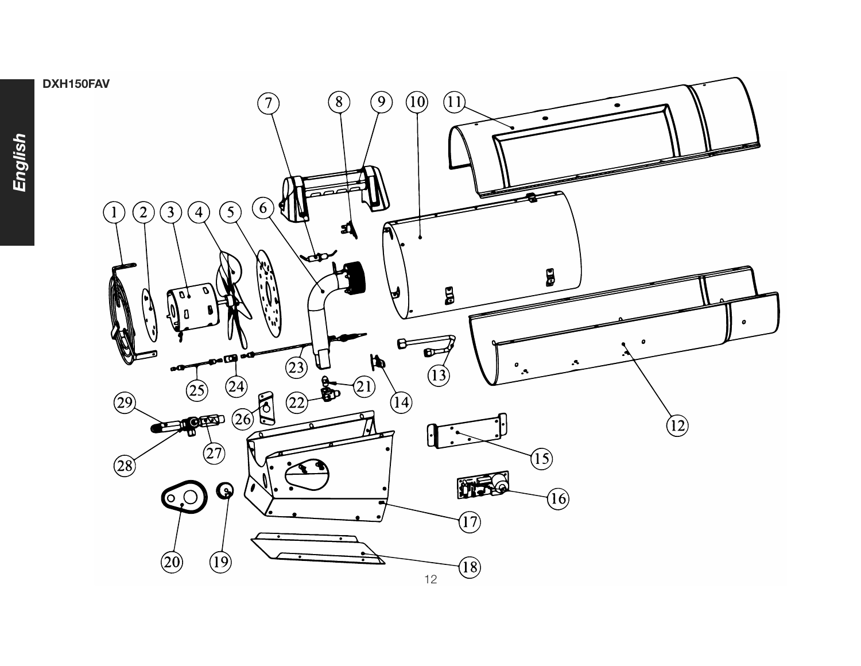